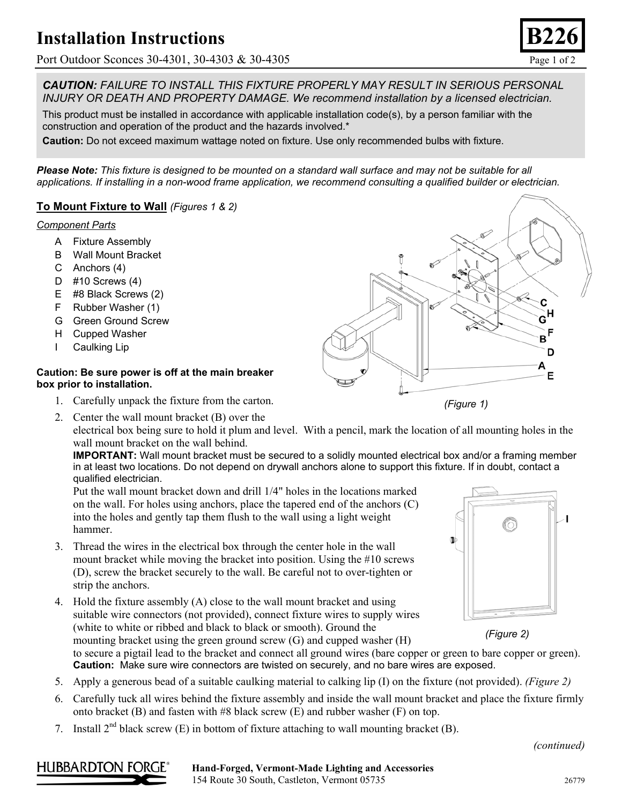## **Installation Instructions**

Port Outdoor Sconces 30-4301, 30-4303 & 30-4305 Page 1 of 2

*CAUTION: FAILURE TO INSTALL THIS FIXTURE PROPERLY MAY RESULT IN SERIOUS PERSONAL INJURY OR DEATH AND PROPERTY DAMAGE. We recommend installation by a licensed electrician.*

This product must be installed in accordance with applicable installation code(s), by a person familiar with the construction and operation of the product and the hazards involved.\*

**Caution:** Do not exceed maximum wattage noted on fixture. Use only recommended bulbs with fixture.

*Please Note: This fixture is designed to be mounted on a standard wall surface and may not be suitable for all applications. If installing in a non-wood frame application, we recommend consulting a qualified builder or electrician.*

### **To Mount Fixture to Wall** *(Figures 1 & 2)*

#### *Component Parts*

- A Fixture Assembly
- B Wall Mount Bracket
- C Anchors (4)
- D #10 Screws (4)
- E #8 Black Screws (2)
- F Rubber Washer (1)
- G Green Ground Screw
- H Cupped Washer
- I Caulking Lip

#### **Caution: Be sure power is off at the main breaker box prior to installation.**

1. Carefully unpack the fixture from the carton.



electrical box being sure to hold it plum and level. With a pencil, mark the location of all mounting holes in the wall mount bracket on the wall behind.

**IMPORTANT:** Wall mount bracket must be secured to a solidly mounted electrical box and/or a framing member in at least two locations. Do not depend on drywall anchors alone to support this fixture. If in doubt, contact a qualified electrician.

Put the wall mount bracket down and drill 1/4" holes in the locations marked on the wall. For holes using anchors, place the tapered end of the anchors (C) into the holes and gently tap them flush to the wall using a light weight hammer.

- 3. Thread the wires in the electrical box through the center hole in the wall mount bracket while moving the bracket into position. Using the #10 screws (D), screw the bracket securely to the wall. Be careful not to over-tighten or strip the anchors.
- 4. Hold the fixture assembly (A) close to the wall mount bracket and using suitable wire connectors (not provided), connect fixture wires to supply wires (white to white or ribbed and black to black or smooth). Ground the mounting bracket using the green ground screw (G) and cupped washer (H)





to secure a pigtail lead to the bracket and connect all ground wires (bare copper or green to bare copper or green). **Caution:** Make sure wire connectors are twisted on securely, and no bare wires are exposed.

- 5. Apply a generous bead of a suitable caulking material to calking lip (I) on the fixture (not provided). *(Figure 2)*
- 6. Carefully tuck all wires behind the fixture assembly and inside the wall mount bracket and place the fixture firmly onto bracket (B) and fasten with #8 black screw (E) and rubber washer (F) on top.
- 7. Install  $2^{nd}$  black screw (E) in bottom of fixture attaching to wall mounting bracket (B).

*(continued)*